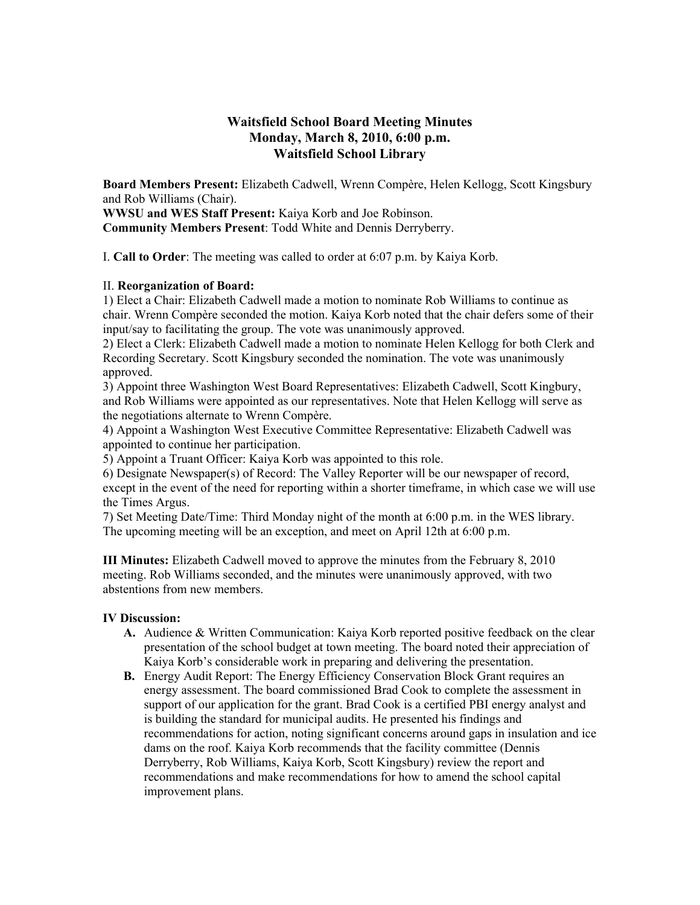# **Waitsfield School Board Meeting Minutes Monday, March 8, 2010, 6:00 p.m. Waitsfield School Library**

**Board Members Present:** Elizabeth Cadwell, Wrenn Compère, Helen Kellogg, Scott Kingsbury and Rob Williams (Chair).

**WWSU and WES Staff Present:** Kaiya Korb and Joe Robinson. **Community Members Present**: Todd White and Dennis Derryberry.

I. **Call to Order**: The meeting was called to order at 6:07 p.m. by Kaiya Korb.

### II. **Reorganization of Board:**

1) Elect a Chair: Elizabeth Cadwell made a motion to nominate Rob Williams to continue as chair. Wrenn Compère seconded the motion. Kaiya Korb noted that the chair defers some of their input/say to facilitating the group. The vote was unanimously approved.

2) Elect a Clerk: Elizabeth Cadwell made a motion to nominate Helen Kellogg for both Clerk and Recording Secretary. Scott Kingsbury seconded the nomination. The vote was unanimously approved.

3) Appoint three Washington West Board Representatives: Elizabeth Cadwell, Scott Kingbury, and Rob Williams were appointed as our representatives. Note that Helen Kellogg will serve as the negotiations alternate to Wrenn Compère.

4) Appoint a Washington West Executive Committee Representative: Elizabeth Cadwell was appointed to continue her participation.

5) Appoint a Truant Officer: Kaiya Korb was appointed to this role.

6) Designate Newspaper(s) of Record: The Valley Reporter will be our newspaper of record, except in the event of the need for reporting within a shorter timeframe, in which case we will use the Times Argus.

7) Set Meeting Date/Time: Third Monday night of the month at 6:00 p.m. in the WES library. The upcoming meeting will be an exception, and meet on April 12th at 6:00 p.m.

**III Minutes:** Elizabeth Cadwell moved to approve the minutes from the February 8, 2010 meeting. Rob Williams seconded, and the minutes were unanimously approved, with two abstentions from new members.

#### **IV Discussion:**

- **A.** Audience & Written Communication: Kaiya Korb reported positive feedback on the clear presentation of the school budget at town meeting. The board noted their appreciation of Kaiya Korb's considerable work in preparing and delivering the presentation.
- **B.** Energy Audit Report: The Energy Efficiency Conservation Block Grant requires an energy assessment. The board commissioned Brad Cook to complete the assessment in support of our application for the grant. Brad Cook is a certified PBI energy analyst and is building the standard for municipal audits. He presented his findings and recommendations for action, noting significant concerns around gaps in insulation and ice dams on the roof. Kaiya Korb recommends that the facility committee (Dennis Derryberry, Rob Williams, Kaiya Korb, Scott Kingsbury) review the report and recommendations and make recommendations for how to amend the school capital improvement plans.